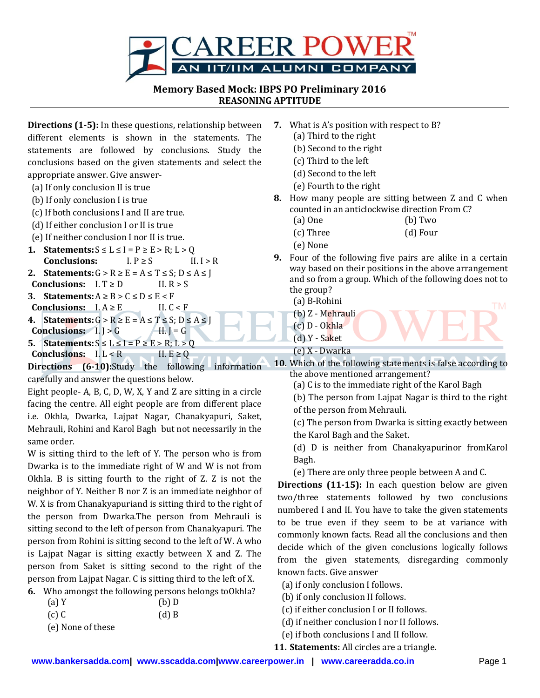

**Memory Based Mock: IBPS PO Preliminary 2016 REASONING APTITUDE**

**Directions (1-5):** In these questions, relationship between different elements is shown in the statements. The statements are followed by conclusions. Study the conclusions based on the given statements and select the appropriate answer. Give answer-

- (a) If only conclusion II is true
- (b) If only conclusion I is true
- (c) If both conclusions I and II are true.
- (d) If either conclusion I or II is true
- (e) If neither conclusion I nor II is true.
- **1. Statements:**  $S \leq L \leq I = P \geq E > R$ ;  $L > Q$ **Conclusions:**  $I.P \geq S$  II.  $I > R$
- **2. Statements:**  $G > R \ge E = A \le T \le S$ :  $D \le A \le T$ **Conclusions:**  $I. T \ge D$  II.  $R > S$
- **3. Statements:**  $A \geq B > C \leq D \leq E \leq F$
- **Conclusions:**  $I.A \ge E$  II.  $C \le F$ **4. Statements:**  $G > R \ge E = A \le T \le S$ ;  $D \le A \le J$
- **Conclusions:**  $I. \mid > G$  II.  $\mid = G$ **5. Statements:**  $S \le L \le I = P \ge E > R$ ;  $L > 0$
- **Conclusions:**  $I, L < R$  II.  $E \ge Q$

**Directions (6-10):**Study the following information carefully and answer the questions below.

Eight people- A, B, C, D, W, X, Y and Z are sitting in a circle facing the centre. All eight people are from different place i.e. Okhla, Dwarka, Lajpat Nagar, Chanakyapuri, Saket, Mehrauli, Rohini and Karol Bagh but not necessarily in the same order.

W is sitting third to the left of Y. The person who is from Dwarka is to the immediate right of W and W is not from Okhla. B is sitting fourth to the right of Z. Z is not the neighbor of Y. Neither B nor Z is an immediate neighbor of W. X is from Chanakyapuriand is sitting third to the right of the person from Dwarka.The person from Mehrauli is sitting second to the left of person from Chanakyapuri. The person from Rohini is sitting second to the left of W. A who is Lajpat Nagar is sitting exactly between X and Z. The person from Saket is sitting second to the right of the person from Lajpat Nagar. C is sitting third to the left of X.

**6.** Who amongst the following persons belongs toOkhla?

| (a)Y              | $(b)$ D |
|-------------------|---------|
| $(c)$ C           | $(d)$ B |
| (e) None of these |         |

- **7.** What is A's position with respect to B?
	- (a) Third to the right
	- (b) Second to the right
	- (c) Third to the left
	- (d) Second to the left
	- (e) Fourth to the right
- **8.** How many people are sitting between Z and C when counted in an anticlockwise direction From C?
	- (a) One (b) Two
	- (c) Three (d) Four
	- (e) None
- **9.** Four of the following five pairs are alike in a certain way based on their positions in the above arrangement and so from a group. Which of the following does not to the group?

(a) B-Rohini

- (b) Z Mehrauli
- (c) D Okhla
- (d) Y Saket
- (e) X Dwarka

**10.** Which of the following statements is false according to the above mentioned arrangement?

- (a) C is to the immediate right of the Karol Bagh
- (b) The person from Lajpat Nagar is third to the right of the person from Mehrauli.
- (c) The person from Dwarka is sitting exactly between the Karol Bagh and the Saket.

(d) D is neither from Chanakyapurinor fromKarol Bagh.

(e) There are only three people between A and C.

**Directions (11-15):** In each question below are given two/three statements followed by two conclusions numbered I and II. You have to take the given statements to be true even if they seem to be at variance with commonly known facts. Read all the conclusions and then decide which of the given conclusions logically follows from the given statements, disregarding commonly known facts. Give answer

- (a) if only conclusion I follows.
- (b) if only conclusion II follows.
- (c) if either conclusion I or II follows.
- (d) if neither conclusion I nor II follows.
- (e) if both conclusions I and II follow.

**11. Statements:** All circles are a triangle.

**TM**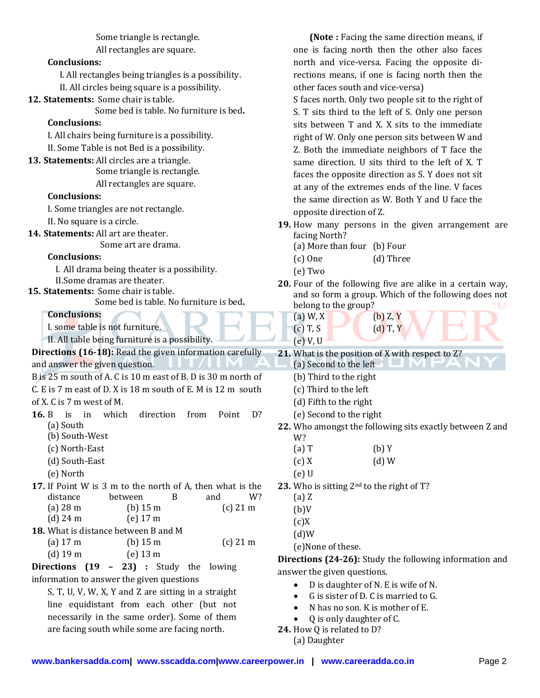Some triangle is rectangle.

All rectangles are square.

## **Conclusions:**

I. All rectangles being triangles is a possibility. II. All circles being square is a possibility.

**12. Statements:** Some chair is table.

Some bed is table. No furniture is bed**.**

## **Conclusions:**

I. All chairs being furniture is a possibility. II. Some Table is not Bed is a possibility.

- **13. Statements:** All circles are a triangle.
	- Some triangle is rectangle.

All rectangles are square.

## **Conclusions:**

I. Some triangles are not rectangle.

II. No square is a circle.

**14. Statements:** All art are theater.

Some art are drama.

- **Conclusions:**
	- I. All drama being theater is a possibility.
- II.Some dramas are theater.

**15. Statements:** Some chair is table.

Some bed is table. No furniture is bed**.**

**Conclusions:**

I. some table is not furniture.

II. All table being furniture is a possibility.

**Directions (16-18):** Read the given information carefully and answer the given question.

- B is 25 m south of A. C is 10 m east of B. D is 30 m north of
- C. E is 7 m east of D. X is 18 m south of E. M is 12 m south
- of X. C is 7 m west of M.
- **16.** B is in which direction from Point D? (a) South
	- (b) South-West
	- (c) North-East
	- (d) South-East
	- (e) North
- **17.** If Point W is 3 m to the north of A, then what is the distance between B and W? (a) 28 m (b) 15 m (c) 21 m (d) 24 m (e) 17 m
- **18.** What is distance between B and M (a) 17 m (b) 15 m (c) 21 m
	- (d) 19 m (e) 13 m

**Directions (19 – 23) :** Study the lowing information to answer the given questions

S, T, U, V, W, X, Y and Z are sitting in a straight line equidistant from each other (but not necessarily in the same order). Some of them are facing south while some are facing north.

**(Note :** Facing the same direction means, if one is facing north then the other also faces north and vice-versa. Facing the opposite directions means, if one is facing north then the other faces south and vice-versa)

S faces north. Only two people sit to the right of S. T sits third to the left of S. Only one person sits between T and X. X sits to the immediate right of W. Only one person sits between W and Z. Both the immediate neighbors of T face the same direction. U sits third to the left of X. T faces the opposite direction as S. Y does not sit at any of the extremes ends of the line. V faces the same direction as W. Both Y and U face the opposite direction of Z.

- **19.** How many persons in the given arrangement are facing North?
	- (a) More than four (b) Four
	- (c) One (d) Three
	- (e) Two
- **20.** Four of the following five are alike in a certain way, and so form a group. Which of the following does not belong to the group?
	- (a) W, X (b) Z, Y (c) T, S (d) T, Y
- (e) V, U **21.** What is the position of X with respect to Z?
- (a) Second to the left
	-
	- (b) Third to the right
	- (c) Third to the left
	- (d) Fifth to the right
	- (e) Second to the right
- **22.** Who amongst the following sits exactly between Z and W?
	- $(a) T$  (b) Y
	- $(c) X$  (d) W
	- (e) U
- **23.** Who is sitting 2nd to the right of T?
	- (a) Z
	- $(b)V$
	- $(c)X$
	- $(d)W$
	- (e)None of these.

**Directions (24-26):** Study the following information and answer the given questions.

- D is daughter of N. E is wife of N.
- G is sister of D. C is married to G.
- N has no son. K is mother of E.
- Q is only daughter of C.
- **24.** How Q is related to D?
	- (a) Daughter